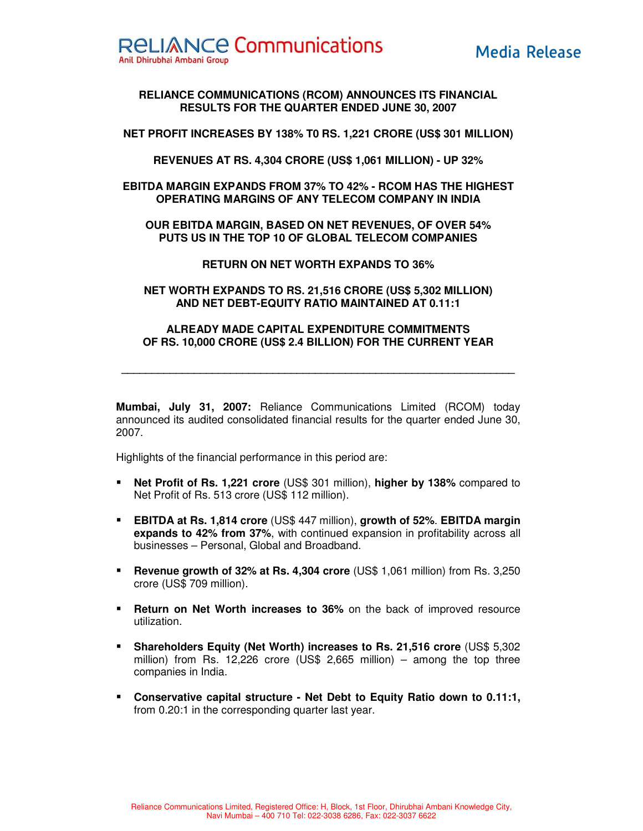

# **RELIANCE COMMUNICATIONS (RCOM) ANNOUNCES ITS FINANCIAL RESULTS FOR THE QUARTER ENDED JUNE 30, 2007**

**NET PROFIT INCREASES BY 138% T0 RS. 1,221 CRORE (US\$ 301 MILLION)** 

**REVENUES AT RS. 4,304 CRORE (US\$ 1,061 MILLION) - UP 32%** 

**EBITDA MARGIN EXPANDS FROM 37% TO 42% - RCOM HAS THE HIGHEST OPERATING MARGINS OF ANY TELECOM COMPANY IN INDIA** 

**OUR EBITDA MARGIN, BASED ON NET REVENUES, OF OVER 54% PUTS US IN THE TOP 10 OF GLOBAL TELECOM COMPANIES** 

**RETURN ON NET WORTH EXPANDS TO 36%** 

**NET WORTH EXPANDS TO RS. 21,516 CRORE (US\$ 5,302 MILLION) AND NET DEBT-EQUITY RATIO MAINTAINED AT 0.11:1** 

# **ALREADY MADE CAPITAL EXPENDITURE COMMITMENTS OF RS. 10,000 CRORE (US\$ 2.4 BILLION) FOR THE CURRENT YEAR**

**\_\_\_\_\_\_\_\_\_\_\_\_\_\_\_\_\_\_\_\_\_\_\_\_\_\_\_\_\_\_\_\_\_\_\_\_\_\_\_\_\_\_\_\_\_\_\_\_\_\_\_\_\_\_\_\_\_\_\_\_\_\_\_\_\_** 

**Mumbai, July 31, 2007:** Reliance Communications Limited (RCOM) today announced its audited consolidated financial results for the quarter ended June 30, 2007.

Highlights of the financial performance in this period are:

- **Net Profit of Rs. 1,221 crore** (US\$ 301 million), **higher by 138%** compared to Net Profit of Rs. 513 crore (US\$ 112 million).
- **EBITDA at Rs. 1,814 crore** (US\$ 447 million), **growth of 52%**. **EBITDA margin expands to 42% from 37%**, with continued expansion in profitability across all businesses – Personal, Global and Broadband.
- **Revenue growth of 32% at Rs. 4,304 crore** (US\$ 1,061 million) from Rs. 3,250 crore (US\$ 709 million).
- **Return on Net Worth increases to 36%** on the back of improved resource utilization.
- **Shareholders Equity (Net Worth) increases to Rs. 21,516 crore** (US\$ 5,302 million) from Rs. 12,226 crore (US\$ 2,665 million) – among the top three companies in India.
- **Conservative capital structure Net Debt to Equity Ratio down to 0.11:1,** from 0.20:1 in the corresponding quarter last year.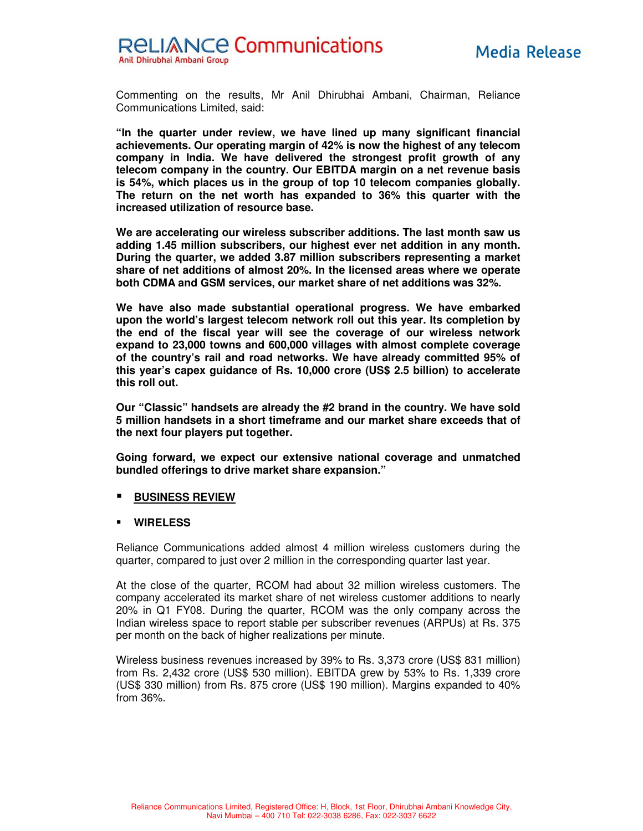

Commenting on the results, Mr Anil Dhirubhai Ambani, Chairman, Reliance Communications Limited, said:

**"In the quarter under review, we have lined up many significant financial achievements. Our operating margin of 42% is now the highest of any telecom company in India. We have delivered the strongest profit growth of any telecom company in the country. Our EBITDA margin on a net revenue basis is 54%, which places us in the group of top 10 telecom companies globally. The return on the net worth has expanded to 36% this quarter with the increased utilization of resource base.** 

**We are accelerating our wireless subscriber additions. The last month saw us adding 1.45 million subscribers, our highest ever net addition in any month. During the quarter, we added 3.87 million subscribers representing a market share of net additions of almost 20%. In the licensed areas where we operate both CDMA and GSM services, our market share of net additions was 32%.** 

**We have also made substantial operational progress. We have embarked upon the world's largest telecom network roll out this year. Its completion by the end of the fiscal year will see the coverage of our wireless network expand to 23,000 towns and 600,000 villages with almost complete coverage of the country's rail and road networks. We have already committed 95% of this year's capex guidance of Rs. 10,000 crore (US\$ 2.5 billion) to accelerate this roll out.** 

**Our "Classic" handsets are already the #2 brand in the country. We have sold 5 million handsets in a short timeframe and our market share exceeds that of the next four players put together.** 

**Going forward, we expect our extensive national coverage and unmatched bundled offerings to drive market share expansion."** 

#### **BUSINESS REVIEW**

#### **WIRELESS**

Reliance Communications added almost 4 million wireless customers during the quarter, compared to just over 2 million in the corresponding quarter last year.

At the close of the quarter, RCOM had about 32 million wireless customers. The company accelerated its market share of net wireless customer additions to nearly 20% in Q1 FY08. During the quarter, RCOM was the only company across the Indian wireless space to report stable per subscriber revenues (ARPUs) at Rs. 375 per month on the back of higher realizations per minute.

Wireless business revenues increased by 39% to Rs. 3,373 crore (US\$ 831 million) from Rs. 2,432 crore (US\$ 530 million). EBITDA grew by 53% to Rs. 1,339 crore (US\$ 330 million) from Rs. 875 crore (US\$ 190 million). Margins expanded to 40% from 36%.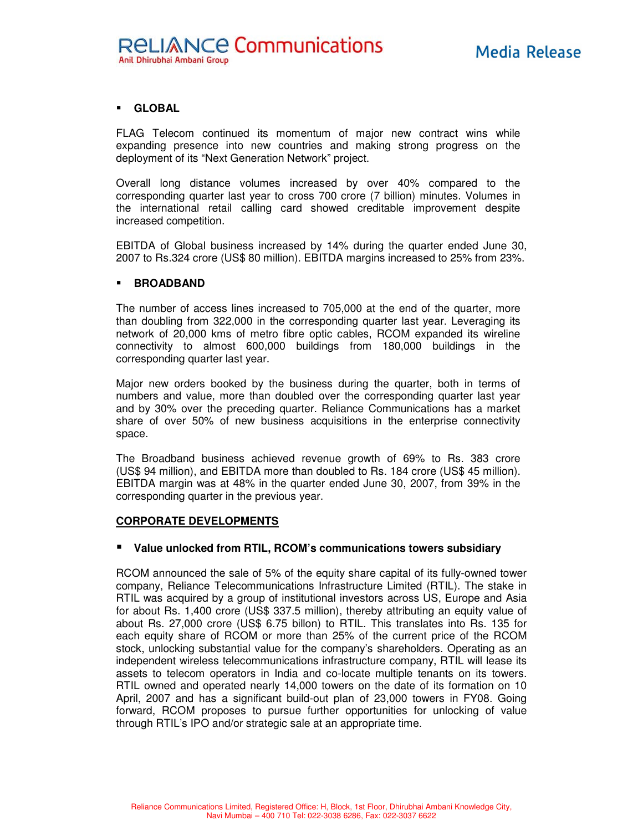### **GLOBAL**

FLAG Telecom continued its momentum of major new contract wins while expanding presence into new countries and making strong progress on the deployment of its "Next Generation Network" project.

Overall long distance volumes increased by over 40% compared to the corresponding quarter last year to cross 700 crore (7 billion) minutes. Volumes in the international retail calling card showed creditable improvement despite increased competition.

EBITDA of Global business increased by 14% during the quarter ended June 30, 2007 to Rs.324 crore (US\$ 80 million). EBITDA margins increased to 25% from 23%.

#### **BROADBAND**

The number of access lines increased to 705,000 at the end of the quarter, more than doubling from 322,000 in the corresponding quarter last year. Leveraging its network of 20,000 kms of metro fibre optic cables, RCOM expanded its wireline connectivity to almost 600,000 buildings from 180,000 buildings in the corresponding quarter last year.

Major new orders booked by the business during the quarter, both in terms of numbers and value, more than doubled over the corresponding quarter last year and by 30% over the preceding quarter. Reliance Communications has a market share of over 50% of new business acquisitions in the enterprise connectivity space.

The Broadband business achieved revenue growth of 69% to Rs. 383 crore (US\$ 94 million), and EBITDA more than doubled to Rs. 184 crore (US\$ 45 million). EBITDA margin was at 48% in the quarter ended June 30, 2007, from 39% in the corresponding quarter in the previous year.

#### **CORPORATE DEVELOPMENTS**

#### **Value unlocked from RTIL, RCOM's communications towers subsidiary**

RCOM announced the sale of 5% of the equity share capital of its fully-owned tower company, Reliance Telecommunications Infrastructure Limited (RTIL). The stake in RTIL was acquired by a group of institutional investors across US, Europe and Asia for about Rs. 1,400 crore (US\$ 337.5 million), thereby attributing an equity value of about Rs. 27,000 crore (US\$ 6.75 billon) to RTIL. This translates into Rs. 135 for each equity share of RCOM or more than 25% of the current price of the RCOM stock, unlocking substantial value for the company's shareholders. Operating as an independent wireless telecommunications infrastructure company, RTIL will lease its assets to telecom operators in India and co-locate multiple tenants on its towers. RTIL owned and operated nearly 14,000 towers on the date of its formation on 10 April, 2007 and has a significant build-out plan of 23,000 towers in FY08. Going forward, RCOM proposes to pursue further opportunities for unlocking of value through RTIL's IPO and/or strategic sale at an appropriate time.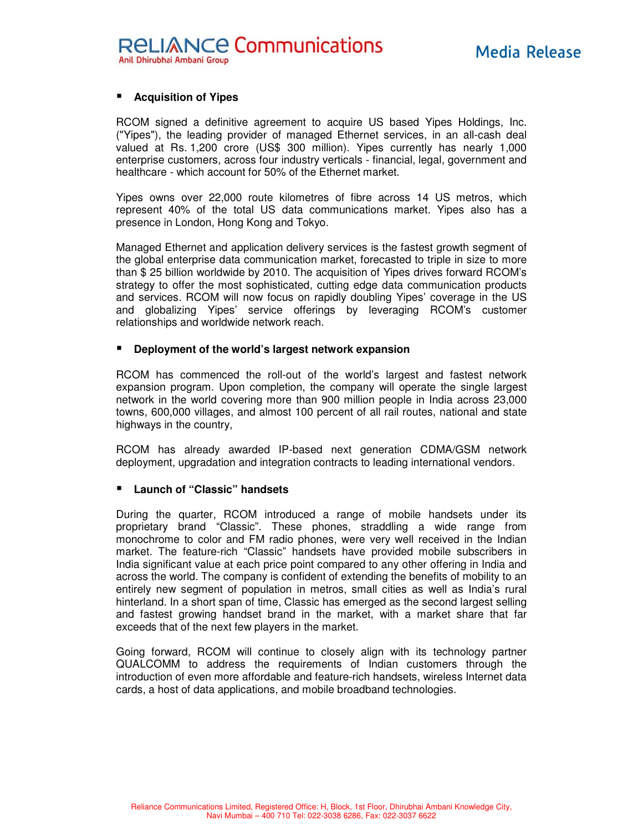# **Acquisition of Yipes**

RCOM signed a definitive agreement to acquire US based Yipes Holdings, Inc. ("Yipes"), the leading provider of managed Ethernet services, in an all-cash deal valued at Rs. 1,200 crore (US\$ 300 million). Yipes currently has nearly 1,000 enterprise customers, across four industry verticals - financial, legal, government and healthcare - which account for 50% of the Ethernet market.

Yipes owns over 22,000 route kilometres of fibre across 14 US metros, which represent 40% of the total US data communications market. Yipes also has a presence in London, Hong Kong and Tokyo.

Managed Ethernet and application delivery services is the fastest growth segment of the global enterprise data communication market, forecasted to triple in size to more than \$ 25 billion worldwide by 2010. The acquisition of Yipes drives forward RCOM's strategy to offer the most sophisticated, cutting edge data communication products and services. RCOM will now focus on rapidly doubling Yipes' coverage in the US and globalizing Yipes' service offerings by leveraging RCOM's customer relationships and worldwide network reach.

### **Deployment of the world's largest network expansion**

RCOM has commenced the roll-out of the world's largest and fastest network expansion program. Upon completion, the company will operate the single largest network in the world covering more than 900 million people in India across 23,000 towns, 600,000 villages, and almost 100 percent of all rail routes, national and state highways in the country,

RCOM has already awarded IP-based next generation CDMA/GSM network deployment, upgradation and integration contracts to leading international vendors.

# **Launch of "Classic" handsets**

During the quarter, RCOM introduced a range of mobile handsets under its proprietary brand "Classic". These phones, straddling a wide range from monochrome to color and FM radio phones, were very well received in the Indian market. The feature-rich "Classic" handsets have provided mobile subscribers in India significant value at each price point compared to any other offering in India and across the world. The company is confident of extending the benefits of mobility to an entirely new segment of population in metros, small cities as well as India's rural hinterland. In a short span of time, Classic has emerged as the second largest selling and fastest growing handset brand in the market, with a market share that far exceeds that of the next few players in the market.

Going forward, RCOM will continue to closely align with its technology partner QUALCOMM to address the requirements of Indian customers through the introduction of even more affordable and feature-rich handsets, wireless Internet data cards, a host of data applications, and mobile broadband technologies.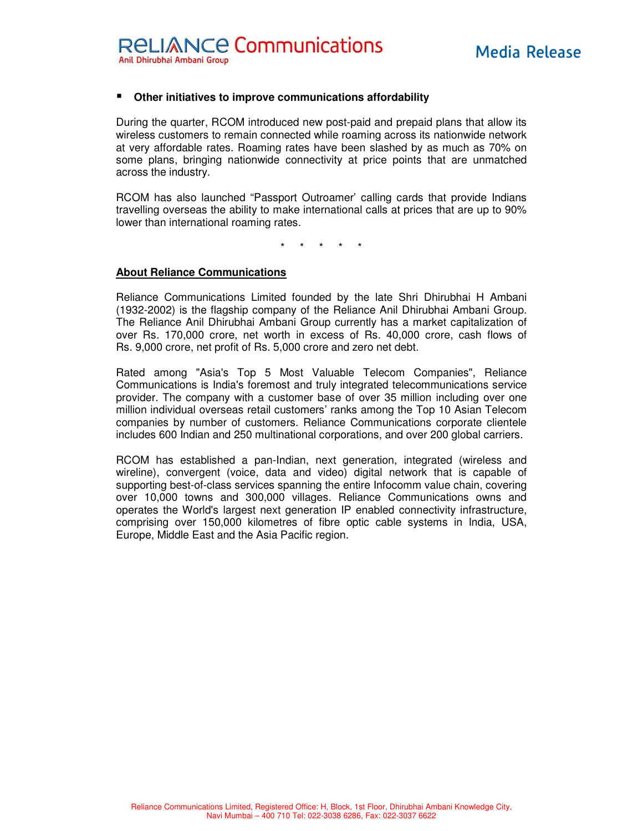### **Other initiatives to improve communications affordability**

During the quarter, RCOM introduced new post-paid and prepaid plans that allow its wireless customers to remain connected while roaming across its nationwide network at very affordable rates. Roaming rates have been slashed by as much as 70% on some plans, bringing nationwide connectivity at price points that are unmatched across the industry.

RCOM has also launched "Passport Outroamer' calling cards that provide Indians travelling overseas the ability to make international calls at prices that are up to 90% lower than international roaming rates.

\* \* \* \* \*

#### **About Reliance Communications**

Reliance Communications Limited founded by the late Shri Dhirubhai H Ambani (1932-2002) is the flagship company of the Reliance Anil Dhirubhai Ambani Group. The Reliance Anil Dhirubhai Ambani Group currently has a market capitalization of over Rs. 170,000 crore, net worth in excess of Rs. 40,000 crore, cash flows of Rs. 9,000 crore, net profit of Rs. 5,000 crore and zero net debt.

Rated among "Asia's Top 5 Most Valuable Telecom Companies", Reliance Communications is India's foremost and truly integrated telecommunications service provider. The company with a customer base of over 35 million including over one million individual overseas retail customers' ranks among the Top 10 Asian Telecom companies by number of customers. Reliance Communications corporate clientele includes 600 Indian and 250 multinational corporations, and over 200 global carriers.

RCOM has established a pan-Indian, next generation, integrated (wireless and wireline), convergent (voice, data and video) digital network that is capable of supporting best-of-class services spanning the entire Infocomm value chain, covering over 10,000 towns and 300,000 villages. Reliance Communications owns and operates the World's largest next generation IP enabled connectivity infrastructure, comprising over 150,000 kilometres of fibre optic cable systems in India, USA, Europe, Middle East and the Asia Pacific region.